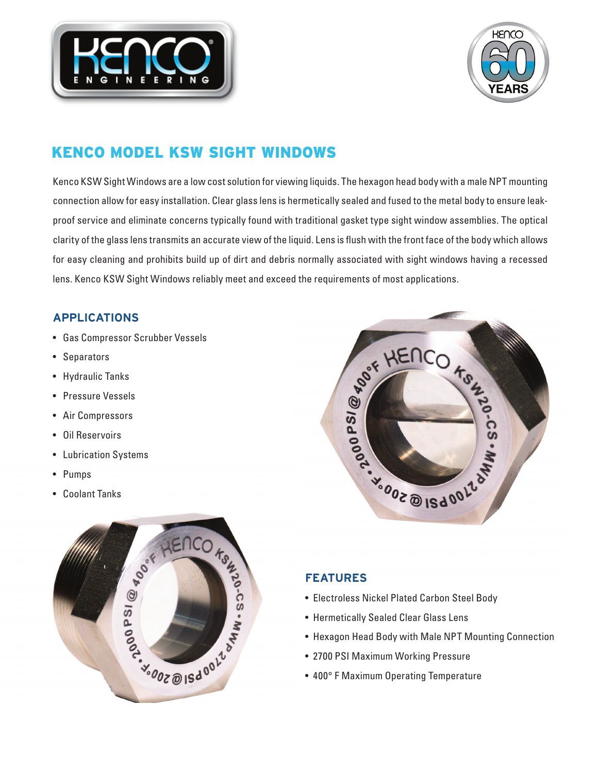



# KENCO MODEL KSW SIGHT WINDOWS

Kenco KSW Sight Windows are a low cost solution for viewing liquids. The hexagon head body with a male NPT mounting connection allow for easy installation. Clear glass lens is hermetically sealed and fused to the metal body to ensure leakproof service and eliminate concerns typically found with traditional gasket type sight window assemblies. The optical clarity of the glass lens transmits an accurate view of the liquid. Lens is flush with the front face of the body which allows for easy cleaning and prohibits build up of dirt and debris normally associated with sight windows having a recessed lens. Kenco KSW Sight Windows reliably meet and exceed the requirements of most applications.

# **APPLICATIONS**

- Gas Compressor Scrubber Vessels
- Separators
- Hydraulic Tanks
- Pressure Vessels
- Air Compressors
- Oil Reservoirs
- Lubrication Systems
- Pumps
- Coolant Tanks





# **FEATURES**

- Electroless Nickel Plated Carbon Steel Body
- Hermetically Sealed Clear Glass Lens
- Hexagon Head Body with Male NPT Mounting Connection
- 2700 PSI Maximum Working Pressure
- 400° F Maximum Operating Temperature